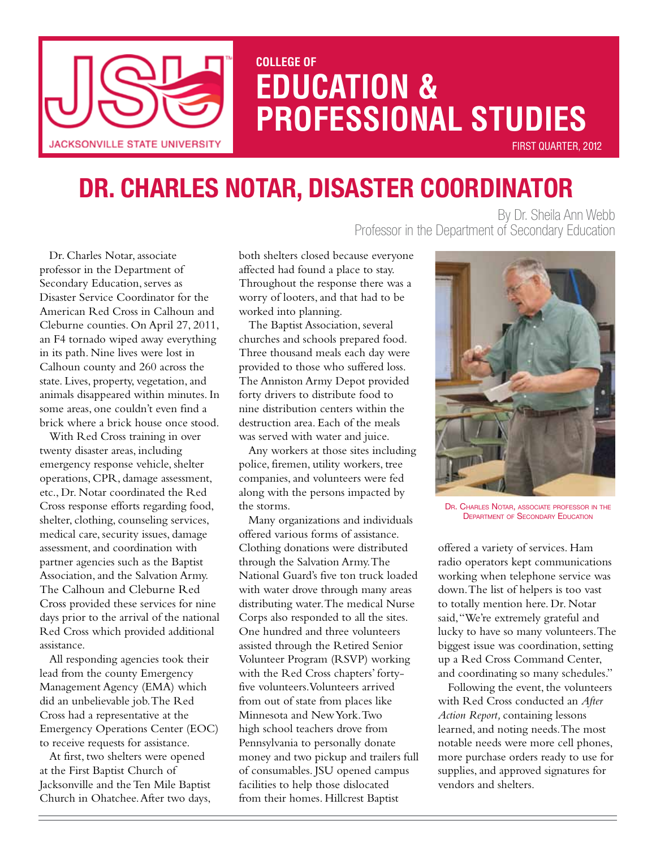

## **COLLEGE OF EDUCATION & PROFESSIONAL STUDIES**

First Quarter, 2012

By Dr. Sheila Ann Webb

# **Dr. Charles Notar, Disaster Coordinator**

Dr. Charles Notar, associate professor in the Department of Secondary Education, serves as Disaster Service Coordinator for the American Red Cross in Calhoun and Cleburne counties. On April 27, 2011, an F4 tornado wiped away everything in its path. Nine lives were lost in Calhoun county and 260 across the state. Lives, property, vegetation, and animals disappeared within minutes. In some areas, one couldn't even find a brick where a brick house once stood.

With Red Cross training in over twenty disaster areas, including emergency response vehicle, shelter operations, CPR, damage assessment, etc., Dr. Notar coordinated the Red Cross response efforts regarding food, shelter, clothing, counseling services, medical care, security issues, damage assessment, and coordination with partner agencies such as the Baptist Association, and the Salvation Army. The Calhoun and Cleburne Red Cross provided these services for nine days prior to the arrival of the national Red Cross which provided additional assistance.

All responding agencies took their lead from the county Emergency Management Agency (EMA) which did an unbelievable job. The Red Cross had a representative at the Emergency Operations Center (EOC) to receive requests for assistance.

At first, two shelters were opened at the First Baptist Church of Jacksonville and the Ten Mile Baptist Church in Ohatchee. After two days,

both shelters closed because everyone affected had found a place to stay. Throughout the response there was a worry of looters, and that had to be worked into planning.

The Baptist Association, several churches and schools prepared food. Three thousand meals each day were provided to those who suffered loss. The Anniston Army Depot provided forty drivers to distribute food to nine distribution centers within the destruction area. Each of the meals was served with water and juice.

Any workers at those sites including police, firemen, utility workers, tree companies, and volunteers were fed along with the persons impacted by the storms.

Many organizations and individuals offered various forms of assistance. Clothing donations were distributed through the Salvation Army. The National Guard's five ton truck loaded with water drove through many areas distributing water. The medical Nurse Corps also responded to all the sites. One hundred and three volunteers assisted through the Retired Senior Volunteer Program (RSVP) working with the Red Cross chapters' fortyfive volunteers. Volunteers arrived from out of state from places like Minnesota and New York. Two high school teachers drove from Pennsylvania to personally donate money and two pickup and trailers full of consumables. JSU opened campus facilities to help those dislocated from their homes. Hillcrest Baptist



Professor in the Department of Secondary Education

DR. CHARLES NOTAR, ASSOCIATE PROFESSOR IN THE **DEPARTMENT OF SECONDARY EDUCATION** 

offered a variety of services. Ham radio operators kept communications working when telephone service was down. The list of helpers is too vast to totally mention here. Dr. Notar said, "We're extremely grateful and lucky to have so many volunteers. The biggest issue was coordination, setting up a Red Cross Command Center, and coordinating so many schedules."

 Following the event, the volunteers with Red Cross conducted an *After Action Report,* containing lessons learned, and noting needs. The most notable needs were more cell phones, more purchase orders ready to use for supplies, and approved signatures for vendors and shelters.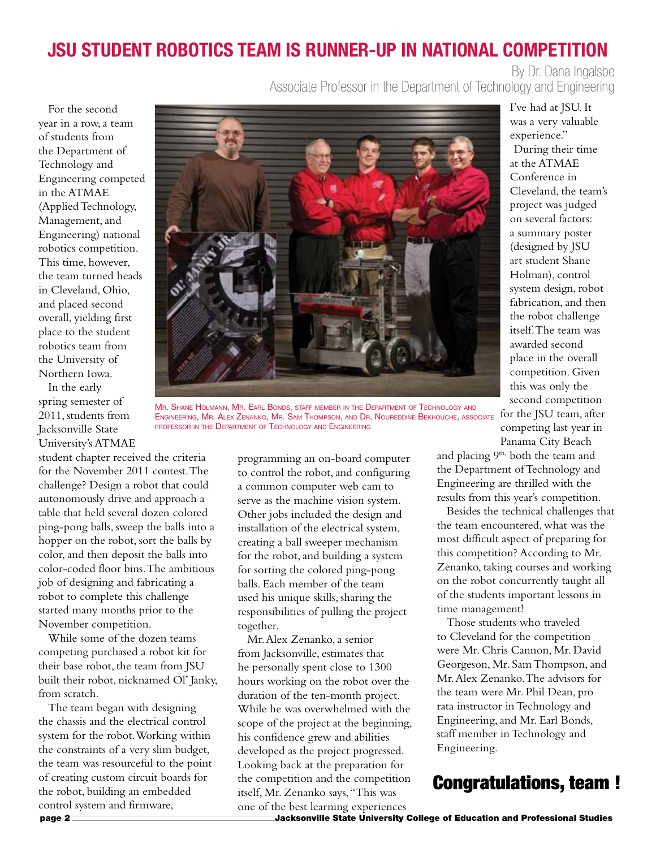## **JSU Student Robotics Team Is Runner-Up in National Competition**

By Dr. Dana Ingalsbe

Associate Professor in the Department of Technology and Engineering

For the second year in a row, a team of students from the Department of Technology and Engineering competed in the ATMAE (Applied Technology, Management, and Engineering) national robotics competition. This time, however, the team turned heads in Cleveland, Ohio, and placed second overall, yielding first place to the student robotics team from the University of Northern Iowa.

In the early spring semester of 2011, students from Jacksonville State University's ATMAE



WH. OTHINE FIOLIMANN, WH. LARE DONDS, STAFF MEMBER IN THE DEFARTMENT OF TECHNOLOGY AND CONTRESS TO the JSU team, after Mr. Shane Holmann, Mr. Earl Bonds, staff member in the Department of Technology and professor in the Department of Technology and Engineering

I've had at JSU. It was a very valuable experience." During their time at the ATMAE Conference in Cleveland, the team's project was judged on several factors: a summary poster (designed by JSU art student Shane Holman), control system design, robot fabrication, and then the robot challenge itself. The team was awarded second place in the overall competition. Given this was only the second competition competing last year in Panama City Beach

and placing 9th, both the team and the Department of Technology and Engineering are thrilled with the results from this year's competition.

Besides the technical challenges that the team encountered, what was the most difficult aspect of preparing for this competition? According to Mr. Zenanko, taking courses and working on the robot concurrently taught all of the students important lessons in time management!

Those students who traveled to Cleveland for the competition were Mr. Chris Cannon, Mr. David Georgeson, Mr. Sam Thompson, and Mr. Alex Zenanko. The advisors for the team were Mr. Phil Dean, pro rata instructor in Technology and Engineering, and Mr. Earl Bonds, staff member in Technology and Engineering.

#### Congratulations, team !

student chapter received the criteria for the November 2011 contest. The challenge? Design a robot that could autonomously drive and approach a table that held several dozen colored ping-pong balls, sweep the balls into a hopper on the robot, sort the balls by color, and then deposit the balls into color-coded floor bins. The ambitious job of designing and fabricating a robot to complete this challenge started many months prior to the November competition.

While some of the dozen teams competing purchased a robot kit for their base robot, the team from JSU built their robot, nicknamed Ol' Janky, from scratch.

The team began with designing the chassis and the electrical control system for the robot. Working within the constraints of a very slim budget, the team was resourceful to the point of creating custom circuit boards for the robot, building an embedded control system and firmware,

programming an on-board computer to control the robot, and configuring a common computer web cam to serve as the machine vision system. Other jobs included the design and installation of the electrical system, creating a ball sweeper mechanism for the robot, and building a system for sorting the colored ping-pong balls. Each member of the team used his unique skills, sharing the responsibilities of pulling the project together.

Mr. Alex Zenanko, a senior from Jacksonville, estimates that he personally spent close to 1300 hours working on the robot over the duration of the ten-month project. While he was overwhelmed with the scope of the project at the beginning, his confidence grew and abilities developed as the project progressed. Looking back at the preparation for the competition and the competition itself, Mr. Zenanko says, "This was one of the best learning experiences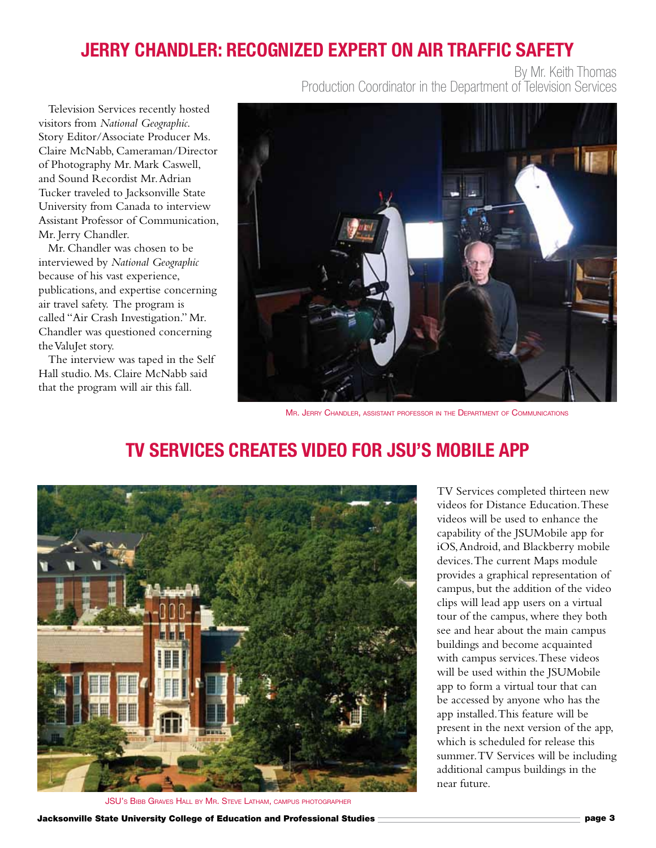## **Jerry Chandler: recognized Expert on Air Traffic Safety**

By Mr. Keith Thomas Production Coordinator in the Department of Television Services

Television Services recently hosted visitors from *National Geographic*. Story Editor/Associate Producer Ms. Claire McNabb, Cameraman/Director of Photography Mr. Mark Caswell, and Sound Recordist Mr. Adrian Tucker traveled to Jacksonville State University from Canada to interview Assistant Professor of Communication, Mr. Jerry Chandler.

Mr. Chandler was chosen to be interviewed by *National Geographic* because of his vast experience, publications, and expertise concerning air travel safety. The program is called "Air Crash Investigation." Mr. Chandler was questioned concerning the ValuJet story.

The interview was taped in the Self Hall studio. Ms. Claire McNabb said that the program will air this fall.



Mr. Jerry Chandler, assistant professor in the Department of Communications



### **TV Services creates video for JSU's Mobile App**

JSU's Bibb Graves Hall by Mr. Steve Latham, campus photographer

TV Services completed thirteen new videos for Distance Education. These videos will be used to enhance the capability of the JSUMobile app for iOS, Android, and Blackberry mobile devices. The current Maps module provides a graphical representation of campus, but the addition of the video clips will lead app users on a virtual tour of the campus, where they both see and hear about the main campus buildings and become acquainted with campus services. These videos will be used within the JSUMobile app to form a virtual tour that can be accessed by anyone who has the app installed. This feature will be present in the next version of the app, which is scheduled for release this summer. TV Services will be including additional campus buildings in the near future.

Jacksonville State University College of Education and Professional Studies **page 1** name is a page 3 and 2011 and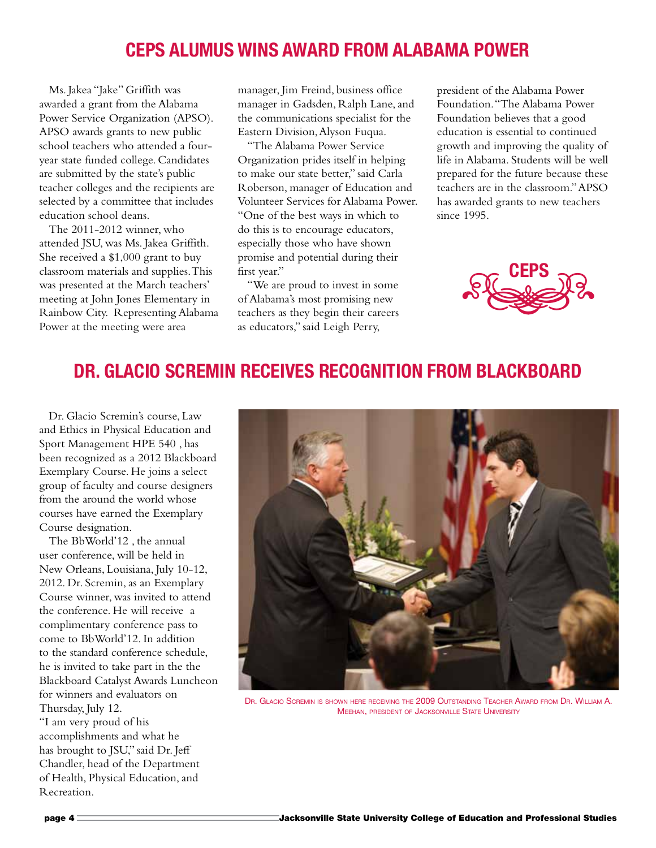## **CEPS Alumus Wins Award from Alabama Power**

Ms. Jakea "Jake" Griffith was awarded a grant from the Alabama Power Service Organization (APSO). APSO awards grants to new public school teachers who attended a fouryear state funded college. Candidates are submitted by the state's public teacher colleges and the recipients are selected by a committee that includes education school deans.

The 2011-2012 winner, who attended JSU, was Ms. Jakea Griffith. She received a \$1,000 grant to buy classroom materials and supplies. This was presented at the March teachers' meeting at John Jones Elementary in Rainbow City. Representing Alabama Power at the meeting were area

manager, Jim Freind, business office manager in Gadsden, Ralph Lane, and the communications specialist for the Eastern Division, Alyson Fuqua.

"The Alabama Power Service Organization prides itself in helping to make our state better," said Carla Roberson, manager of Education and Volunteer Services for Alabama Power. "One of the best ways in which to do this is to encourage educators, especially those who have shown promise and potential during their first year."

"We are proud to invest in some of Alabama's most promising new teachers as they begin their careers as educators," said Leigh Perry,

president of the Alabama Power Foundation. "The Alabama Power Foundation believes that a good education is essential to continued growth and improving the quality of life in Alabama. Students will be well prepared for the future because these teachers are in the classroom." APSO has awarded grants to new teachers since 1995.



#### **Dr. Glacio Scremin receives Recognition from BlackBoard**

Dr. Glacio Scremin's course, Law and Ethics in Physical Education and Sport Management HPE 540 , has been recognized as a 2012 Blackboard Exemplary Course. He joins a select group of faculty and course designers from the around the world whose courses have earned the Exemplary Course designation.

The BbWorld'12 , the annual user conference, will be held in New Orleans, Louisiana, July 10-12, 2012. Dr. Scremin, as an Exemplary Course winner, was invited to attend the conference. He will receive a complimentary conference pass to come to BbWorld'12. In addition to the standard conference schedule, he is invited to take part in the the Blackboard Catalyst Awards Luncheon for winners and evaluators on Thursday, July 12. "I am very proud of his accomplishments and what he has brought to JSU," said Dr. Jeff Chandler, head of the Department of Health, Physical Education, and Recreation.



Dr. Glacio Scremin is shown here receiving the 2009 Outstanding Teacher Award from Dr. William A. Meehan, president of Jacksonville State University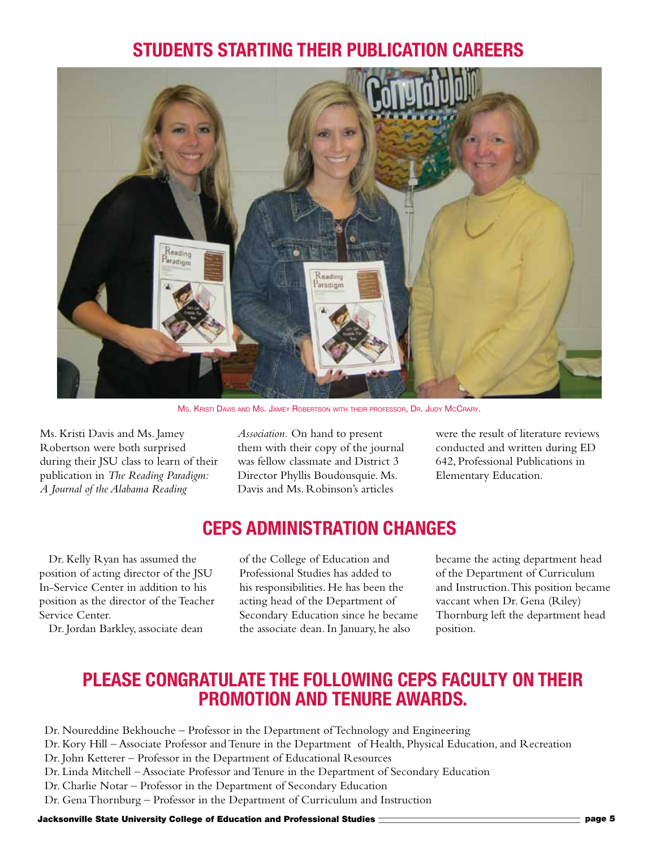## **Students Starting their Publication Careers**



Ms. Kristi Davis and Ms. Jamey Robertson with their professor, Dr. Judy McCrary.

Ms. Kristi Davis and Ms. Jamey Robertson were both surprised during their JSU class to learn of their publication in *The Reading Paradigm: A Journal of the Alabama Reading* 

*Association.* On hand to present them with their copy of the journal was fellow classmate and District 3 Director Phyllis Boudousquie. Ms. Davis and Ms. Robinson's articles

were the result of literature reviews conducted and written during ED 642, Professional Publications in Elementary Education.

#### **CEPS Administration Changes**

Dr. Kelly Ryan has assumed the position of acting director of the JSU In-Service Center in addition to his position as the director of the Teacher Service Center.

Dr. Jordan Barkley, associate dean

of the College of Education and Professional Studies has added to his responsibilities. He has been the acting head of the Department of Secondary Education since he became the associate dean. In January, he also

became the acting department head of the Department of Curriculum and Instruction. This position became vaccant when Dr. Gena (Riley) Thornburg left the department head position.

#### **Please congratulate the following CEPS faculty on their promotion and tenure awards.**

Dr. Noureddine Bekhouche – Professor in the Department of Technology and Engineering

- Dr. Kory Hill Associate Professor and Tenure in the Department of Health, Physical Education, and Recreation
- Dr. John Ketterer Professor in the Department of Educational Resources
- Dr. Linda Mitchell Associate Professor and Tenure in the Department of Secondary Education
- Dr. Charlie Notar Professor in the Department of Secondary Education
- Dr. Gena Thornburg Professor in the Department of Curriculum and Instruction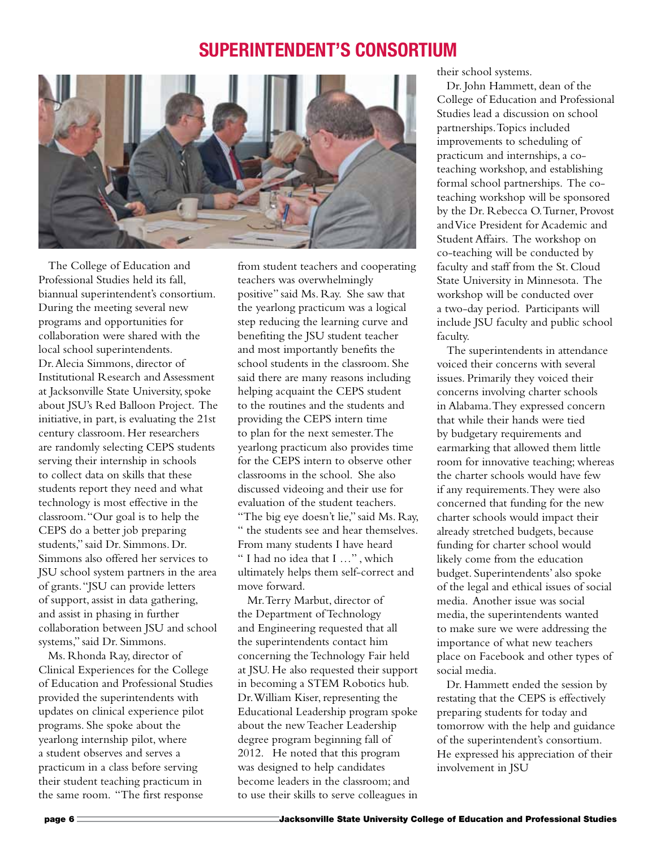#### **Superintendent's Consortium**



The College of Education and Professional Studies held its fall, biannual superintendent's consortium. During the meeting several new programs and opportunities for collaboration were shared with the local school superintendents. Dr. Alecia Simmons, director of Institutional Research and Assessment at Jacksonville State University, spoke about JSU's Red Balloon Project. The initiative, in part, is evaluating the 21st century classroom. Her researchers are randomly selecting CEPS students serving their internship in schools to collect data on skills that these students report they need and what technology is most effective in the classroom. "Our goal is to help the CEPS do a better job preparing students," said Dr. Simmons. Dr. Simmons also offered her services to JSU school system partners in the area of grants. "JSU can provide letters of support, assist in data gathering, and assist in phasing in further collaboration between JSU and school systems," said Dr. Simmons.

Ms. Rhonda Ray, director of Clinical Experiences for the College of Education and Professional Studies provided the superintendents with updates on clinical experience pilot programs. She spoke about the yearlong internship pilot, where a student observes and serves a practicum in a class before serving their student teaching practicum in the same room. "The first response

from student teachers and cooperating teachers was overwhelmingly positive" said Ms. Ray. She saw that the yearlong practicum was a logical step reducing the learning curve and benefiting the JSU student teacher and most importantly benefits the school students in the classroom. She said there are many reasons including helping acquaint the CEPS student to the routines and the students and providing the CEPS intern time to plan for the next semester. The yearlong practicum also provides time for the CEPS intern to observe other classrooms in the school. She also discussed videoing and their use for evaluation of the student teachers. "The big eye doesn't lie," said Ms. Ray, " the students see and hear themselves. From many students I have heard " I had no idea that I …" , which ultimately helps them self-correct and move forward.

Mr. Terry Marbut, director of the Department of Technology and Engineering requested that all the superintendents contact him concerning the Technology Fair held at JSU. He also requested their support in becoming a STEM Robotics hub. Dr. William Kiser, representing the Educational Leadership program spoke about the new Teacher Leadership degree program beginning fall of 2012. He noted that this program was designed to help candidates become leaders in the classroom; and to use their skills to serve colleagues in their school systems.

Dr. John Hammett, dean of the College of Education and Professional Studies lead a discussion on school partnerships. Topics included improvements to scheduling of practicum and internships, a coteaching workshop, and establishing formal school partnerships. The coteaching workshop will be sponsored by the Dr. Rebecca O. Turner, Provost and Vice President for Academic and Student Affairs. The workshop on co-teaching will be conducted by faculty and staff from the St. Cloud State University in Minnesota. The workshop will be conducted over a two-day period. Participants will include JSU faculty and public school faculty.

The superintendents in attendance voiced their concerns with several issues. Primarily they voiced their concerns involving charter schools in Alabama. They expressed concern that while their hands were tied by budgetary requirements and earmarking that allowed them little room for innovative teaching; whereas the charter schools would have few if any requirements. They were also concerned that funding for the new charter schools would impact their already stretched budgets, because funding for charter school would likely come from the education budget. Superintendents' also spoke of the legal and ethical issues of social media. Another issue was social media, the superintendents wanted to make sure we were addressing the importance of what new teachers place on Facebook and other types of social media.

Dr. Hammett ended the session by restating that the CEPS is effectively preparing students for today and tomorrow with the help and guidance of the superintendent's consortium. He expressed his appreciation of their involvement in JSU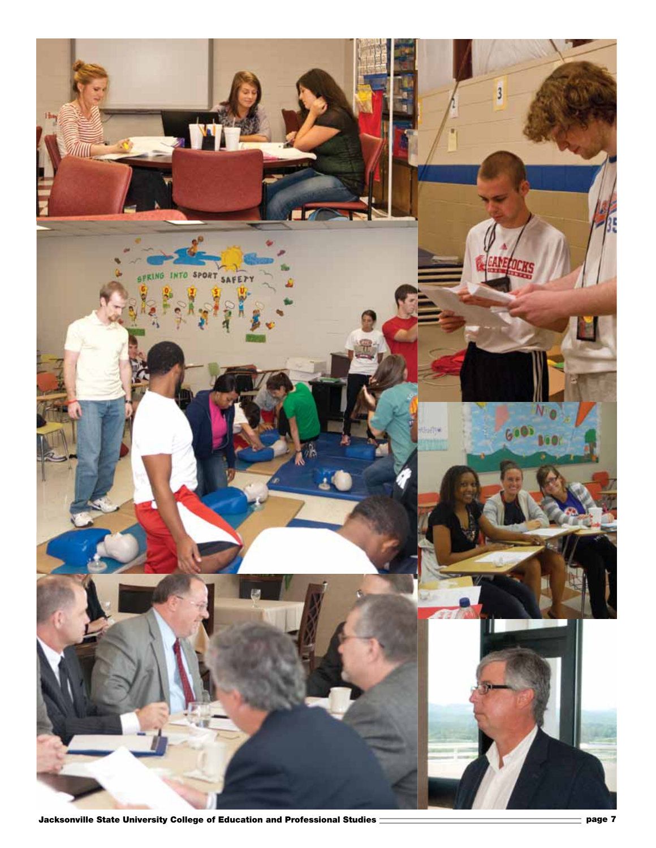